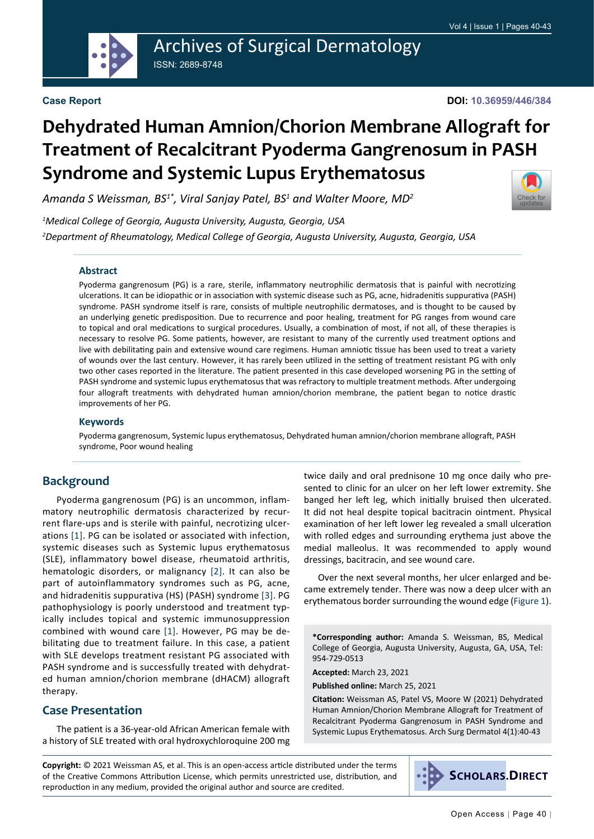

## Archives of Surgical Dermatology ISSN: 2689-8748

#### **Case Report**

**DOI: 10.36959/446/384**

# **Dehydrated Human Amnion/Chorion Membrane Allograft for Treatment of Recalcitrant Pyoderma Gangrenosum in PASH Syndrome and Systemic Lupus Erythematosus**

*Amanda S Weissman, BS1\*, Viral Sanjay Patel, BS1 and Walter Moore, MD2*

[Check for](http://crossmark.crossref.org/dialog/?doi=10.36959/446/384&domain=pdf) updates

*1 Medical College of Georgia, Augusta University, Augusta, Georgia, USA 2 Department of Rheumatology, Medical College of Georgia, Augusta University, Augusta, Georgia, USA*

#### **Abstract**

Pyoderma gangrenosum (PG) is a rare, sterile, inflammatory neutrophilic dermatosis that is painful with necrotizing ulcerations. It can be idiopathic or in association with systemic disease such as PG, acne, hidradenitis suppurativa (PASH) syndrome. PASH syndrome itself is rare, consists of multiple neutrophilic dermatoses, and is thought to be caused by an underlying genetic predisposition. Due to recurrence and poor healing, treatment for PG ranges from wound care to topical and oral medications to surgical procedures. Usually, a combination of most, if not all, of these therapies is necessary to resolve PG. Some patients, however, are resistant to many of the currently used treatment options and live with debilitating pain and extensive wound care regimens. Human amniotic tissue has been used to treat a variety of wounds over the last century. However, it has rarely been utilized in the setting of treatment resistant PG with only two other cases reported in the literature. The patient presented in this case developed worsening PG in the setting of PASH syndrome and systemic lupus erythematosus that was refractory to multiple treatment methods. After undergoing four allograft treatments with dehydrated human amnion/chorion membrane, the patient began to notice drastic improvements of her PG.

#### **Keywords**

Pyoderma gangrenosum, Systemic lupus erythematosus, Dehydrated human amnion/chorion membrane allograft, PASH syndrome, Poor wound healing

## **Background**

Pyoderma gangrenosum (PG) is an uncommon, inflammatory neutrophilic dermatosis characterized by recurrent flare-ups and is sterile with painful, necrotizing ulcerations [\[1\]](#page-3-0). PG can be isolated or associated with infection, systemic diseases such as Systemic lupus erythematosus (SLE), inflammatory bowel disease, rheumatoid arthritis, hematologic disorders, or malignancy [\[2\]](#page-3-1). It can also be part of autoinflammatory syndromes such as PG, acne, and hidradenitis suppurativa (HS) (PASH) syndrome [\[3\]](#page-3-2). PG pathophysiology is poorly understood and treatment typically includes topical and systemic immunosuppression combined with wound care [[1\]](#page-3-0). However, PG may be debilitating due to treatment failure. In this case, a patient with SLE develops treatment resistant PG associated with PASH syndrome and is successfully treated with dehydrated human amnion/chorion membrane (dHACM) allograft therapy.

#### **Case Presentation**

The patient is a 36-year-old African American female with a history of SLE treated with oral hydroxychloroquine 200 mg twice daily and oral prednisone 10 mg once daily who presented to clinic for an ulcer on her left lower extremity. She banged her left leg, which initially bruised then ulcerated. It did not heal despite topical bacitracin ointment. Physical examination of her left lower leg revealed a small ulceration with rolled edges and surrounding erythema just above the medial malleolus. It was recommended to apply wound dressings, bacitracin, and see wound care.

Over the next several months, her ulcer enlarged and became extremely tender. There was now a deep ulcer with an erythematous border surrounding the wound edge ([Figure 1](#page-1-0)).

**\*Corresponding author:** Amanda S. Weissman, BS, Medical College of Georgia, Augusta University, Augusta, GA, USA, Tel: 954-729-0513

**Accepted:** March 23, 2021

**Published online:** March 25, 2021

**Citation:** Weissman AS, Patel VS, Moore W (2021) Dehydrated Human Amnion/Chorion Membrane Allograft for Treatment of Recalcitrant Pyoderma Gangrenosum in PASH Syndrome and Systemic Lupus Erythematosus. Arch Surg Dermatol 4(1):40-43

**Copyright:** © 2021 Weissman AS, et al. This is an open-access article distributed under the terms of the Creative Commons Attribution License, which permits unrestricted use, distribution, and reproduction in any medium, provided the original author and source are credited.

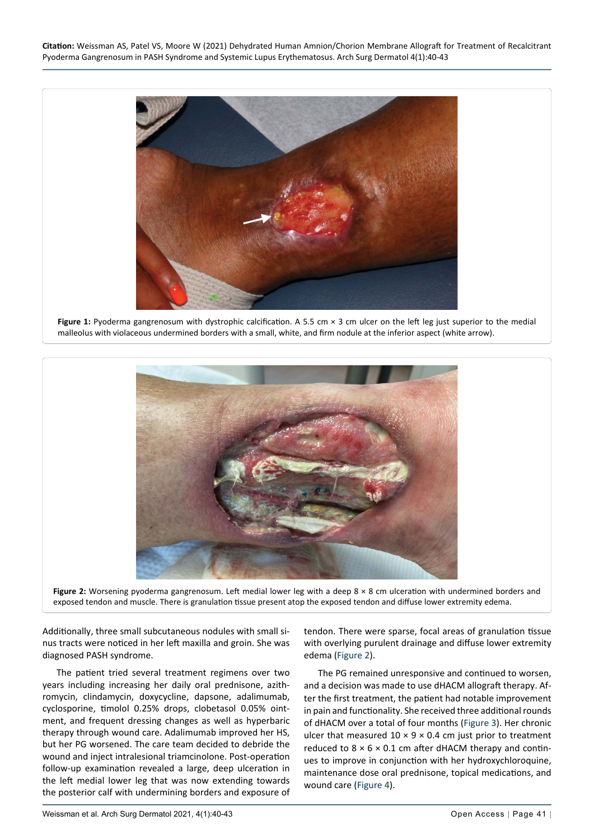**Citation:** Weissman AS, Patel VS, Moore W (2021) Dehydrated Human Amnion/Chorion Membrane Allograft for Treatment of Recalcitrant Pyoderma Gangrenosum in PASH Syndrome and Systemic Lupus Erythematosus. Arch Surg Dermatol 4(1):40-43



**Figure 1:** Pyoderma gangrenosum with dystrophic calcification. A 5.5 cm × 3 cm ulcer on the left leg just superior to the medial malleolus with violaceous undermined borders with a small, white, and firm nodule at the inferior aspect (white arrow).



**Figure 2:** Worsening pyoderma gangrenosum. Left medial lower leg with a deep 8 × 8 cm ulceration with undermined borders and exposed tendon and muscle. There is granulation tissue present atop the exposed tendon and diffuse lower extremity edema.

Additionally, three small subcutaneous nodules with small sinus tracts were noticed in her left maxilla and groin. She was diagnosed PASH syndrome.

<span id="page-1-0"></span>Ĩ

<span id="page-1-1"></span>Ĩ

The patient tried several treatment regimens over two years including increasing her daily oral prednisone, azithromycin, clindamycin, doxycycline, dapsone, adalimumab, cyclosporine, timolol 0.25% drops, clobetasol 0.05% ointment, and frequent dressing changes as well as hyperbaric therapy through wound care. Adalimumab improved her HS, but her PG worsened. The care team decided to debride the wound and inject intralesional triamcinolone. Post-operation follow-up examination revealed a large, deep ulceration in the left medial lower leg that was now extending towards the posterior calf with undermining borders and exposure of tendon. There were sparse, focal areas of granulation tissue with overlying purulent drainage and diffuse lower extremity edema [\(Figure 2\)](#page-1-1).

The PG remained unresponsive and continued to worsen, and a decision was made to use dHACM allograft therapy. After the first treatment, the patient had notable improvement in pain and functionality. She received three additional rounds of dHACM over a total of four months ([Figure 3\)](#page-2-0). Her chronic ulcer that measured  $10 \times 9 \times 0.4$  cm just prior to treatment reduced to  $8 \times 6 \times 0.1$  cm after dHACM therapy and continues to improve in conjunction with her hydroxychloroquine, maintenance dose oral prednisone, topical medications, and wound care ([Figure 4\)](#page-2-1).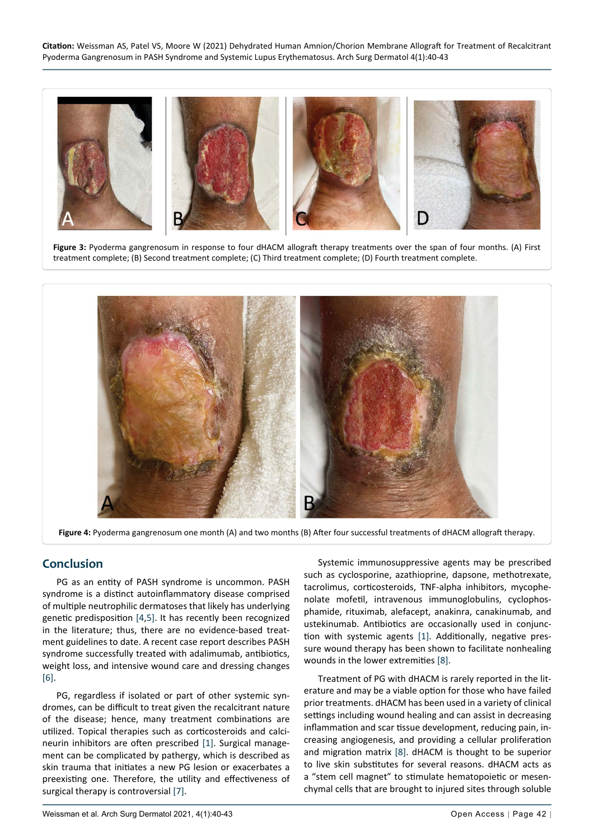<span id="page-2-0"></span>

**Figure 3:** Pyoderma gangrenosum in response to four dHACM allograft therapy treatments over the span of four months. (A) First treatment complete; (B) Second treatment complete; (C) Third treatment complete; (D) Fourth treatment complete.



**Figure 4:** Pyoderma gangrenosum one month (A) and two months (B) After four successful treatments of dHACM allograft therapy.

#### **Conclusion**

<span id="page-2-1"></span>Ĩ

PG as an entity of PASH syndrome is uncommon. PASH syndrome is a distinct autoinflammatory disease comprised of multiple neutrophilic dermatoses that likely has underlying genetic predisposition [\[4](#page-3-4),[5](#page-3-5)]. It has recently been recognized in the literature; thus, there are no evidence-based treatment guidelines to date. A recent case report describes PASH syndrome successfully treated with adalimumab, antibiotics, weight loss, and intensive wound care and dressing changes [[6\]](#page-3-6).

PG, regardless if isolated or part of other systemic syndromes, can be difficult to treat given the recalcitrant nature of the disease; hence, many treatment combinations are utilized. Topical therapies such as corticosteroids and calcineurin inhibitors are often prescribed [[1\]](#page-3-0). Surgical management can be complicated by pathergy, which is described as skin trauma that initiates a new PG lesion or exacerbates a preexisting one. Therefore, the utility and effectiveness of surgical therapy is controversial [[7\]](#page-3-7).

Systemic immunosuppressive agents may be prescribed such as cyclosporine, azathioprine, dapsone, methotrexate, tacrolimus, corticosteroids, TNF-alpha inhibitors, mycophenolate mofetil, intravenous immunoglobulins, cyclophosphamide, rituximab, alefacept, anakinra, canakinumab, and ustekinumab. Antibiotics are occasionally used in conjunction with systemic agents [\[1](#page-3-0)]. Additionally, negative pressure wound therapy has been shown to facilitate nonhealing wounds in the lower extremities [\[8](#page-3-3)].

Treatment of PG with dHACM is rarely reported in the literature and may be a viable option for those who have failed prior treatments. dHACM has been used in a variety of clinical settings including wound healing and can assist in decreasing inflammation and scar tissue development, reducing pain, increasing angiogenesis, and providing a cellular proliferation and migration matrix [[8](#page-3-3)]. dHACM is thought to be superior to live skin substitutes for several reasons. dHACM acts as a "stem cell magnet" to stimulate hematopoietic or mesenchymal cells that are brought to injured sites through soluble